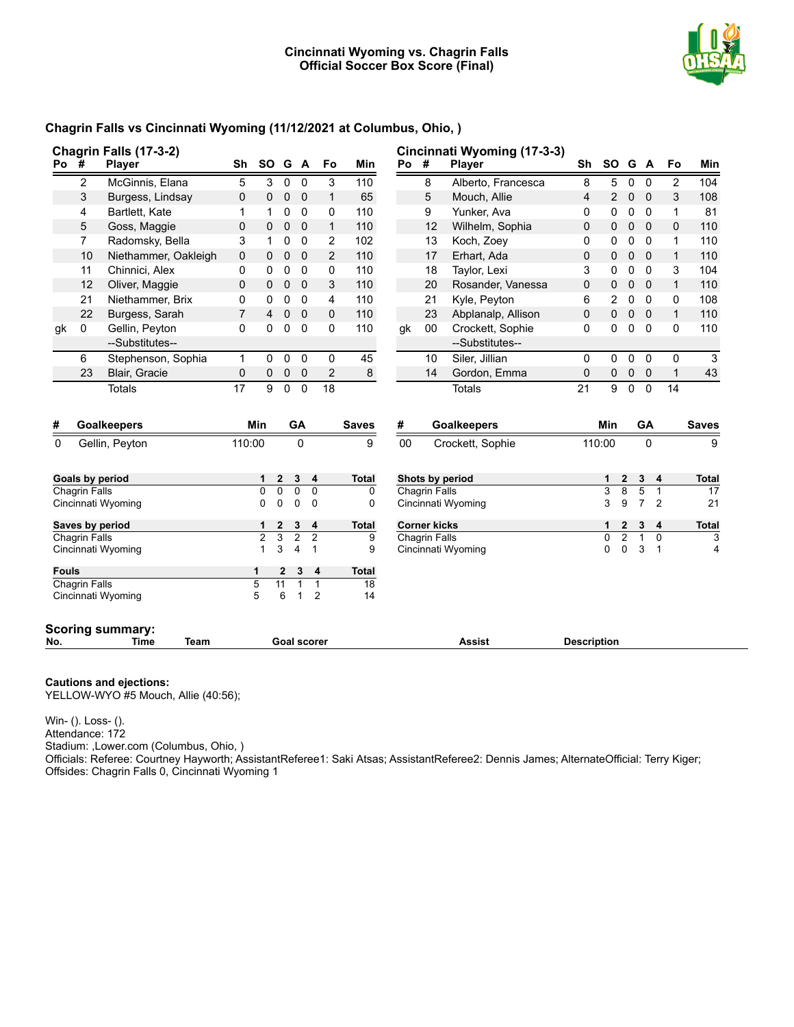

## **Chagrin Falls vs Cincinnati Wyoming (11/12/2021 at Columbus, Ohio, )**

|                                      |                      | Chagrin Falls (17-3-2)                         |                |                |                 |                    |                |              |      |                      | Cincinnati Wyoming (17-3-3) |                    |                |                |                                  |                |                                                                         |
|--------------------------------------|----------------------|------------------------------------------------|----------------|----------------|-----------------|--------------------|----------------|--------------|------|----------------------|-----------------------------|--------------------|----------------|----------------|----------------------------------|----------------|-------------------------------------------------------------------------|
| Po #                                 |                      | <b>Player</b>                                  | Sh             | <b>SO</b>      |                 | G A                | Fo             | Min          | Po # |                      | Player                      | Sh                 | <b>SO</b>      |                | G A                              | Fo             | Min                                                                     |
|                                      | 2                    | McGinnis, Elana                                | 5              | 3              | $\mathbf{0}$    | $\Omega$           | 3              | 110          |      | 8                    | Alberto, Francesca          | 8                  | 5              | $\mathbf{0}$   | $\mathbf{0}$                     | $\overline{2}$ | 104                                                                     |
|                                      | 3                    | Burgess, Lindsay                               | $\mathbf{0}$   | $\mathbf{0}$   | $\mathbf 0$     | $\mathbf 0$        | $\mathbf{1}$   | 65           |      | 5                    | Mouch, Allie                | 4                  | $\overline{2}$ | $\mathbf 0$    | $\Omega$                         | 3              | 108                                                                     |
|                                      | 4                    | Bartlett, Kate                                 | 1              | 1              | 0               | 0                  | 0              | 110          |      | 9                    | Yunker, Ava                 | 0                  | 0              | $\mathbf 0$    | $\mathbf{0}$                     | 1              | 81                                                                      |
|                                      | 5                    | Goss, Maggie                                   | 0              | $\mathbf 0$    | $\mathbf 0$     | $\overline{0}$     | $\mathbf{1}$   | 110          |      | 12                   | Wilhelm, Sophia             | 0                  | 0              | $\mathbf 0$    | $\overline{0}$                   | 0              | 110                                                                     |
|                                      | $\overline{7}$       | Radomsky, Bella                                | 3              | $\mathbf{1}$   | 0               | $\mathbf 0$        | $\overline{2}$ | 102          |      | 13                   | Koch, Zoey                  | 0                  | 0              | $\mathbf 0$    | $\mathbf{0}$                     | 1              | 110                                                                     |
|                                      | 10                   | Niethammer, Oakleigh                           | 0              | $\mathbf 0$    | $\mathbf 0$     | $\mathbf 0$        | 2              | 110          |      | 17                   | Erhart, Ada                 | 0                  | 0              | $\mathbf 0$    | $\mathbf 0$                      | 1              | 110                                                                     |
|                                      | 11                   | Chinnici, Alex                                 | 0              | $\mathbf 0$    | 0               | 0                  | 0              | 110          |      | 18                   | Taylor, Lexi                | 3                  | 0              | $\mathbf 0$    | $\mathbf 0$                      | 3              | 104                                                                     |
|                                      | 12                   | Oliver, Maggie                                 | $\mathbf 0$    | $\mathbf{0}$   | $\mathbf 0$     | $\mathbf 0$        | 3              | 110          |      | 20                   | Rosander, Vanessa           | 0                  | 0              | $\mathbf 0$    | $\Omega$                         | $\mathbf{1}$   | 110                                                                     |
|                                      | 21                   | Niethammer, Brix                               | 0              | 0              | $\mathbf 0$     | 0                  | 4              | 110          |      | 21                   | Kyle, Peyton                | 6                  | 2              | $\mathbf 0$    | $\mathbf{0}$                     | 0              | 108                                                                     |
|                                      | 22                   | Burgess, Sarah                                 | $\overline{7}$ | 4              | $\mathbf 0$     | $\mathbf 0$        | 0              | 110          |      | 23                   | Abplanalp, Allison          | 0                  | 0              | 0              | $\mathbf 0$                      | 1              | 110                                                                     |
| gk                                   | $\mathbf 0$          | Gellin, Peyton                                 | $\Omega$       | $\mathbf 0$    | $\Omega$        | $\overline{0}$     | 0              | 110          | qk   | 00                   | Crockett, Sophie            | 0                  | 0              | 0              | $\mathbf{0}$                     | 0              | 110                                                                     |
|                                      |                      | --Substitutes--                                |                |                |                 |                    |                |              |      |                      | --Substitutes--             |                    |                |                |                                  |                |                                                                         |
|                                      | 6                    | Stephenson, Sophia                             | $\mathbf{1}$   | $\mathbf 0$    | 0               | 0                  | 0              | 45           |      | 10                   | Siler, Jillian              | 0                  | 0              | $\mathbf 0$    | $\mathbf{0}$                     | 0              | 3                                                                       |
|                                      | 23                   | Blair, Gracie                                  | $\mathbf 0$    | $\mathbf{0}$   | $\mathbf 0$     | $\mathbf 0$        | $\overline{2}$ | 8            |      | 14                   | Gordon, Emma                | $\mathbf 0$        | 0              | $\mathbf 0$    | 0                                | 1              | 43                                                                      |
|                                      |                      | <b>Totals</b>                                  | 17             | 9              | $\Omega$        | $\Omega$           | 18             |              |      |                      | <b>Totals</b>               | 21                 | 9              | $\Omega$       | $\Omega$                         | 14             |                                                                         |
|                                      |                      |                                                |                |                |                 |                    |                |              |      |                      |                             |                    |                |                |                                  |                |                                                                         |
|                                      |                      | <b>Goalkeepers</b>                             |                | Min            |                 | <b>GA</b>          |                | <b>Saves</b> | #    |                      | <b>Goalkeepers</b>          |                    | <b>Min</b>     |                | <b>GA</b>                        |                |                                                                         |
|                                      |                      | Gellin, Peyton                                 | 110:00         |                |                 | $\mathbf{0}$       |                | 9            | 00   |                      | Crockett, Sophie            |                    | 110:00         |                | $\Omega$                         |                |                                                                         |
|                                      |                      |                                                |                | 1              | $\mathbf{2}$    | 3                  | 4              | Total        |      |                      |                             |                    | 1              | $\mathbf{2}$   | 3<br>4                           |                |                                                                         |
|                                      | <b>Chagrin Falls</b> | <b>Goals by period</b>                         |                | $\Omega$       | $\mathbf{0}$    | $\overline{0}$     | 0              | 0            |      | <b>Chagrin Falls</b> | Shots by period             |                    | 3              | 8              | 5<br>$\mathbf{1}$                |                |                                                                         |
|                                      |                      | Cincinnati Wyoming                             |                | $\Omega$       | $\Omega$        | $\Omega$           | $\mathbf 0$    | 0            |      |                      | Cincinnati Wyoming          |                    | 3              | 9              | $\overline{7}$<br>$\overline{2}$ |                |                                                                         |
|                                      |                      | Saves by period                                |                | 1              | 2               | 3                  | 4              | Total        |      | <b>Corner kicks</b>  |                             |                    | 1              | $\mathbf{2}$   | 3<br>4                           |                |                                                                         |
|                                      | <b>Chagrin Falls</b> |                                                |                | $\overline{2}$ | 3               | $\overline{2}$     | $\overline{2}$ | 9            |      | <b>Chagrin Falls</b> |                             |                    | 0              | $\overline{2}$ | $\mathbf{1}$<br>$\Omega$         |                |                                                                         |
|                                      |                      | Cincinnati Wyoming                             |                | 1              | 3               | $\overline{4}$     | $\mathbf{1}$   | 9            |      |                      | Cincinnati Wyoming          |                    | 0              | 0              | 3<br>$\mathbf{1}$                |                |                                                                         |
|                                      |                      |                                                |                | 1              | 2               | 3                  | 4              | <b>Total</b> |      |                      |                             |                    |                |                |                                  |                |                                                                         |
|                                      | Chagrin Falls        |                                                |                | 5              | $\overline{11}$ | 1                  | $\mathbf{1}$   | 18           |      |                      |                             |                    |                |                |                                  |                |                                                                         |
|                                      |                      | Cincinnati Wyoming                             |                | 5              | 6               | 1                  | $\overline{2}$ | 14           |      |                      |                             |                    |                |                |                                  |                |                                                                         |
| #<br>$\Omega$<br><b>Fouls</b><br>No. |                      | <b>Scoring summary:</b><br><b>Time</b><br>Team |                |                |                 | <b>Goal scorer</b> |                |              |      |                      | Assist                      | <b>Description</b> |                |                |                                  |                | <b>Saves</b><br>9<br><b>Total</b><br>17<br>21<br><b>Total</b><br>3<br>4 |

#### **Cautions and ejections:**

YELLOW-WYO #5 Mouch, Allie (40:56);

Win- (). Loss- ().

Attendance: 172

Stadium: ,Lower.com (Columbus, Ohio, )

Officials: Referee: Courtney Hayworth; AssistantReferee1: Saki Atsas; AssistantReferee2: Dennis James; AlternateOfficial: Terry Kiger; Offsides: Chagrin Falls 0, Cincinnati Wyoming 1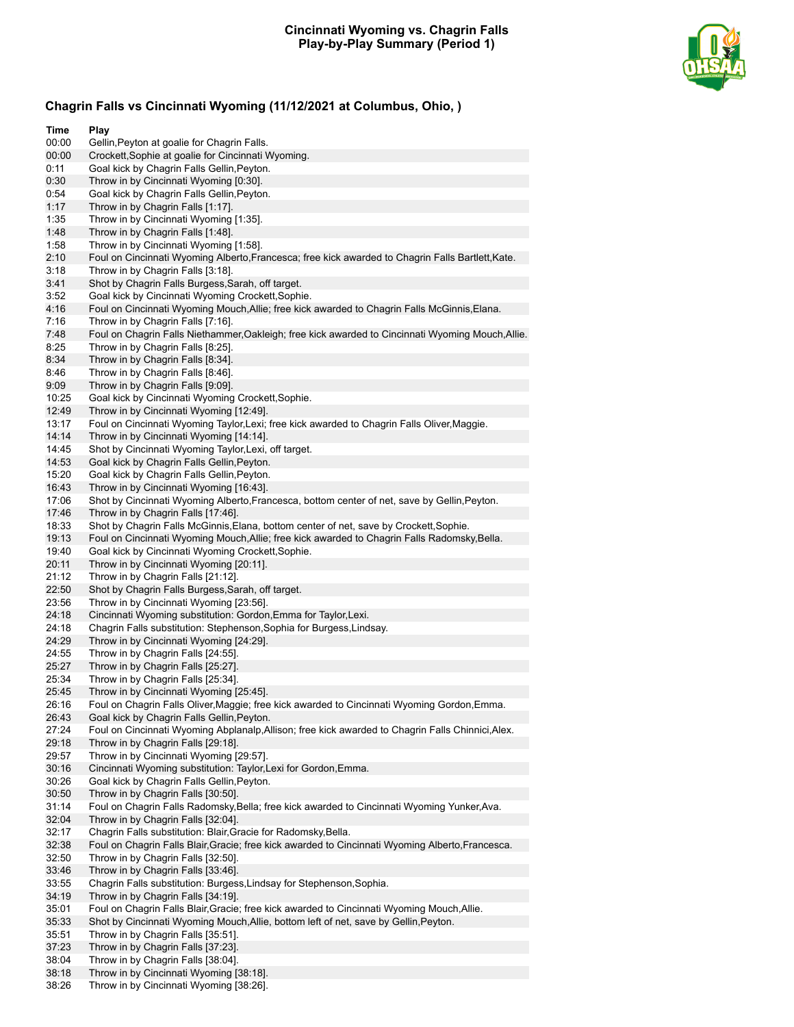### **Cincinnati Wyoming vs. Chagrin Falls Play-by-Play Summary (Period 1)**



## **Chagrin Falls vs Cincinnati Wyoming (11/12/2021 at Columbus, Ohio, )**

| Time           | Play                                                                                                                                              |
|----------------|---------------------------------------------------------------------------------------------------------------------------------------------------|
| 00:00          | Gellin, Peyton at goalie for Chagrin Falls.                                                                                                       |
| 00:00          | Crockett, Sophie at goalie for Cincinnati Wyoming.                                                                                                |
| 0:11           | Goal kick by Chagrin Falls Gellin, Peyton.                                                                                                        |
| 0:30           | Throw in by Cincinnati Wyoming [0:30].                                                                                                            |
| 0:54           | Goal kick by Chagrin Falls Gellin, Peyton.                                                                                                        |
| 1:17           | Throw in by Chagrin Falls [1:17].                                                                                                                 |
| 1:35           | Throw in by Cincinnati Wyoming [1:35].                                                                                                            |
| 1:48           | Throw in by Chagrin Falls [1:48].                                                                                                                 |
| 1:58           | Throw in by Cincinnati Wyoming [1:58].                                                                                                            |
| 2:10           | Foul on Cincinnati Wyoming Alberto, Francesca; free kick awarded to Chagrin Falls Bartlett, Kate.                                                 |
| 3:18           | Throw in by Chagrin Falls [3:18].                                                                                                                 |
| 3:41           | Shot by Chagrin Falls Burgess, Sarah, off target.                                                                                                 |
| 3:52<br>4:16   | Goal kick by Cincinnati Wyoming Crockett, Sophie.<br>Foul on Cincinnati Wyoming Mouch, Allie; free kick awarded to Chagrin Falls McGinnis, Elana. |
| 7:16           | Throw in by Chagrin Falls [7:16].                                                                                                                 |
| 7:48           | Foul on Chagrin Falls Niethammer, Oakleigh; free kick awarded to Cincinnati Wyoming Mouch, Allie.                                                 |
| 8:25           | Throw in by Chagrin Falls [8:25].                                                                                                                 |
| 8:34           | Throw in by Chagrin Falls [8:34].                                                                                                                 |
| 8:46           | Throw in by Chagrin Falls [8:46].                                                                                                                 |
| 9:09           | Throw in by Chagrin Falls [9:09].                                                                                                                 |
| 10:25          | Goal kick by Cincinnati Wyoming Crockett, Sophie.                                                                                                 |
| 12:49          | Throw in by Cincinnati Wyoming [12:49].                                                                                                           |
| 13:17          | Foul on Cincinnati Wyoming Taylor, Lexi; free kick awarded to Chagrin Falls Oliver, Maggie.                                                       |
| 14:14          | Throw in by Cincinnati Wyoming [14:14].                                                                                                           |
| 14:45          | Shot by Cincinnati Wyoming Taylor, Lexi, off target.                                                                                              |
| 14:53          | Goal kick by Chagrin Falls Gellin, Peyton.                                                                                                        |
| 15:20          | Goal kick by Chagrin Falls Gellin, Peyton.                                                                                                        |
| 16:43          | Throw in by Cincinnati Wyoming [16:43].                                                                                                           |
| 17:06          | Shot by Cincinnati Wyoming Alberto, Francesca, bottom center of net, save by Gellin, Peyton.                                                      |
| 17:46          | Throw in by Chagrin Falls [17:46].                                                                                                                |
| 18:33          | Shot by Chagrin Falls McGinnis, Elana, bottom center of net, save by Crockett, Sophie.                                                            |
| 19:13          | Foul on Cincinnati Wyoming Mouch, Allie; free kick awarded to Chagrin Falls Radomsky, Bella.                                                      |
| 19:40          | Goal kick by Cincinnati Wyoming Crockett, Sophie.                                                                                                 |
| 20:11<br>21:12 | Throw in by Cincinnati Wyoming [20:11].<br>Throw in by Chagrin Falls [21:12].                                                                     |
| 22:50          | Shot by Chagrin Falls Burgess, Sarah, off target.                                                                                                 |
| 23:56          | Throw in by Cincinnati Wyoming [23:56].                                                                                                           |
| 24:18          | Cincinnati Wyoming substitution: Gordon, Emma for Taylor, Lexi.                                                                                   |
| 24:18          | Chagrin Falls substitution: Stephenson, Sophia for Burgess, Lindsay.                                                                              |
| 24:29          | Throw in by Cincinnati Wyoming [24:29].                                                                                                           |
| 24:55          | Throw in by Chagrin Falls [24:55].                                                                                                                |
| 25:27          | Throw in by Chagrin Falls [25:27].                                                                                                                |
| 25:34          | Throw in by Chagrin Falls [25:34].                                                                                                                |
| 25:45          | Throw in by Cincinnati Wyoming [25:45].                                                                                                           |
| 26:16          | Foul on Chagrin Falls Oliver,Maggie; free kick awarded to Cincinnati Wyoming Gordon,Emma.                                                         |
| 26:43          | Goal kick by Chagrin Falls Gellin, Peyton.                                                                                                        |
| 27:24          | Foul on Cincinnati Wyoming Abplanalp, Allison; free kick awarded to Chagrin Falls Chinnici, Alex.                                                 |
| 29:18          | Throw in by Chagrin Falls [29:18].                                                                                                                |
| 29:57          | Throw in by Cincinnati Wyoming [29:57].                                                                                                           |
| 30:16          | Cincinnati Wyoming substitution: Taylor, Lexi for Gordon, Emma.                                                                                   |
| 30:26<br>30:50 | Goal kick by Chagrin Falls Gellin, Peyton.                                                                                                        |
|                | Throw in by Chagrin Falls [30:50].                                                                                                                |
| 31:14<br>32:04 | Foul on Chagrin Falls Radomsky, Bella; free kick awarded to Cincinnati Wyoming Yunker, Ava.<br>Throw in by Chagrin Falls [32:04].                 |
| 32:17          | Chagrin Falls substitution: Blair, Gracie for Radomsky, Bella.                                                                                    |
| 32:38          | Foul on Chagrin Falls Blair, Gracie; free kick awarded to Cincinnati Wyoming Alberto, Francesca.                                                  |
| 32:50          | Throw in by Chagrin Falls [32:50].                                                                                                                |
| 33:46          | Throw in by Chagrin Falls [33:46].                                                                                                                |
| 33:55          | Chagrin Falls substitution: Burgess, Lindsay for Stephenson, Sophia.                                                                              |
| 34:19          | Throw in by Chagrin Falls [34:19].                                                                                                                |
| 35:01          | Foul on Chagrin Falls Blair, Gracie; free kick awarded to Cincinnati Wyoming Mouch, Allie.                                                        |
| 35:33          | Shot by Cincinnati Wyoming Mouch, Allie, bottom left of net, save by Gellin, Peyton.                                                              |
| 35:51          | Throw in by Chagrin Falls [35:51].                                                                                                                |
| 37:23          | Throw in by Chagrin Falls [37:23].                                                                                                                |
| 38:04          | Throw in by Chagrin Falls [38:04].                                                                                                                |

38:18 Throw in by Cincinnati Wyoming [38:18]. 38:26 Throw in by Cincinnati Wyoming [38:26].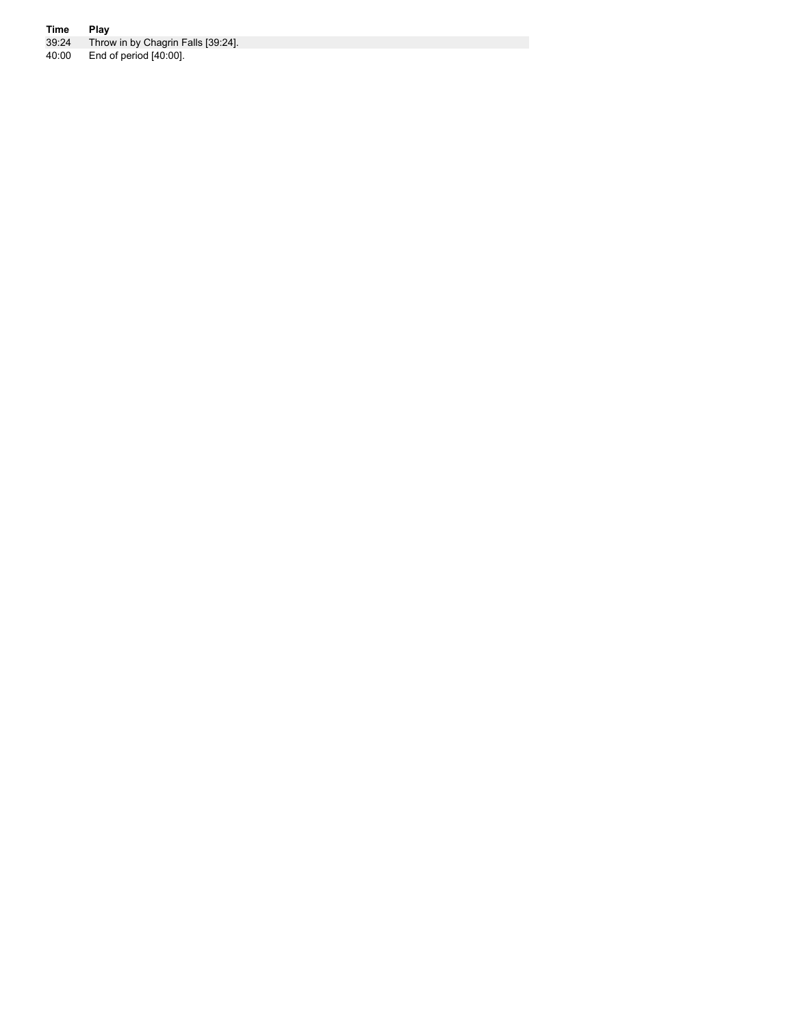#### **Time Play**

39:24 Throw in by Chagrin Falls [39:24].

40:00 End of period [40:00].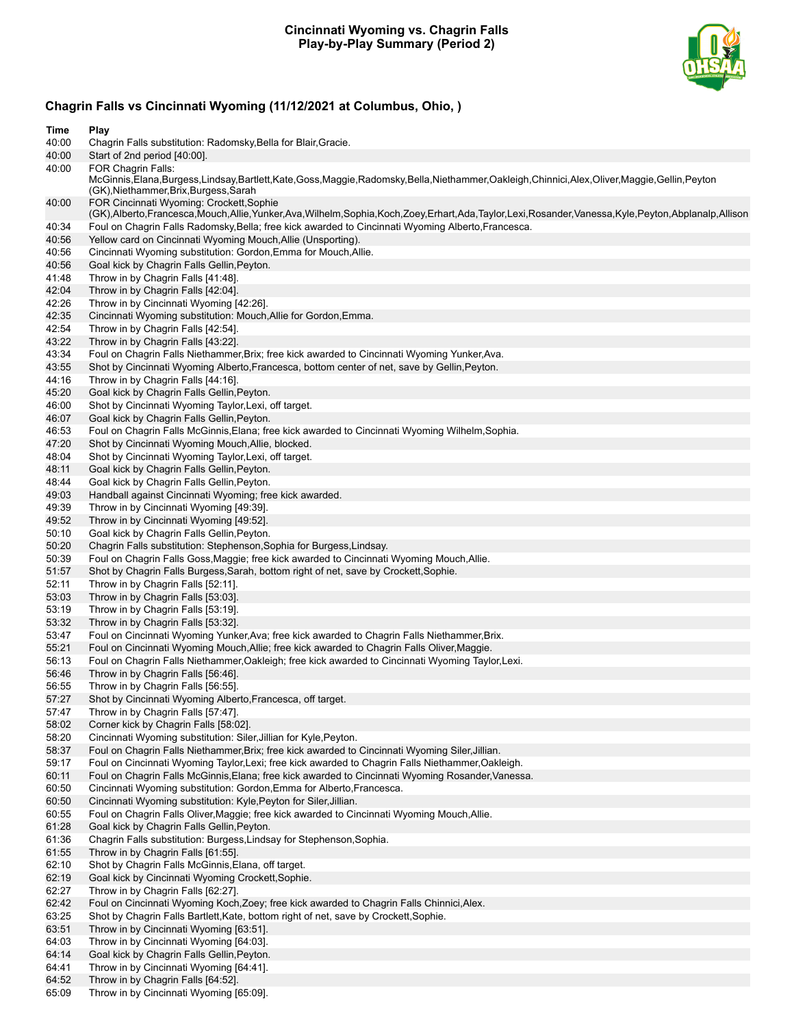### **Cincinnati Wyoming vs. Chagrin Falls Play-by-Play Summary (Period 2)**



# **Chagrin Falls vs Cincinnati Wyoming (11/12/2021 at Columbus, Ohio, )**

| Time           | Play                                                                                                                                                                                             |
|----------------|--------------------------------------------------------------------------------------------------------------------------------------------------------------------------------------------------|
| 40:00          | Chagrin Falls substitution: Radomsky, Bella for Blair, Gracie.                                                                                                                                   |
| 40:00<br>40:00 | Start of 2nd period [40:00].<br><b>FOR Chagrin Falls:</b>                                                                                                                                        |
|                | McGinnis, Elana, Burgess, Lindsay, Bartlett, Kate, Goss, Maggie, Radomsky, Bella, Niethammer, Oakleigh, Chinnici, Alex, Oliver, Maggie, Gellin, Peyton<br>(GK), Niethammer, Brix, Burgess, Sarah |
| 40:00          | FOR Cincinnati Wyoming: Crockett, Sophie<br>(GK),Alberto,Francesca,Mouch,Allie,Yunker,Ava,Wilhelm,Sophia,Koch,Zoey,Erhart,Ada,Taylor,Lexi,Rosander,Vanessa,Kyle,Peyton,Abplanalp,Allison         |
| 40:34          | Foul on Chagrin Falls Radomsky, Bella; free kick awarded to Cincinnati Wyoming Alberto, Francesca.                                                                                               |
| 40:56          | Yellow card on Cincinnati Wyoming Mouch, Allie (Unsporting).                                                                                                                                     |
| 40:56          | Cincinnati Wyoming substitution: Gordon, Emma for Mouch, Allie.                                                                                                                                  |
| 40:56          | Goal kick by Chagrin Falls Gellin, Peyton.                                                                                                                                                       |
| 41:48<br>42:04 | Throw in by Chagrin Falls [41:48].<br>Throw in by Chagrin Falls [42:04].                                                                                                                         |
| 42:26          | Throw in by Cincinnati Wyoming [42:26].                                                                                                                                                          |
| 42:35          | Cincinnati Wyoming substitution: Mouch, Allie for Gordon, Emma.                                                                                                                                  |
| 42:54          | Throw in by Chagrin Falls [42:54].                                                                                                                                                               |
| 43:22          | Throw in by Chagrin Falls [43:22].                                                                                                                                                               |
| 43:34          | Foul on Chagrin Falls Niethammer, Brix; free kick awarded to Cincinnati Wyoming Yunker, Ava.                                                                                                     |
| 43:55          | Shot by Cincinnati Wyoming Alberto, Francesca, bottom center of net, save by Gellin, Peyton.                                                                                                     |
| 44:16          | Throw in by Chagrin Falls [44:16].                                                                                                                                                               |
| 45:20          | Goal kick by Chagrin Falls Gellin, Peyton.                                                                                                                                                       |
| 46:00          | Shot by Cincinnati Wyoming Taylor, Lexi, off target.                                                                                                                                             |
| 46:07          | Goal kick by Chagrin Falls Gellin, Peyton.                                                                                                                                                       |
| 46:53<br>47:20 | Foul on Chagrin Falls McGinnis, Elana; free kick awarded to Cincinnati Wyoming Wilhelm, Sophia.<br>Shot by Cincinnati Wyoming Mouch, Allie, blocked.                                             |
| 48:04          | Shot by Cincinnati Wyoming Taylor, Lexi, off target.                                                                                                                                             |
| 48:11          | Goal kick by Chagrin Falls Gellin, Peyton.                                                                                                                                                       |
| 48:44          | Goal kick by Chagrin Falls Gellin, Peyton.                                                                                                                                                       |
| 49:03          | Handball against Cincinnati Wyoming; free kick awarded.                                                                                                                                          |
| 49:39          | Throw in by Cincinnati Wyoming [49:39].                                                                                                                                                          |
| 49:52          | Throw in by Cincinnati Wyoming [49:52].                                                                                                                                                          |
| 50:10          | Goal kick by Chagrin Falls Gellin, Peyton.                                                                                                                                                       |
| 50:20<br>50:39 | Chagrin Falls substitution: Stephenson, Sophia for Burgess, Lindsay.                                                                                                                             |
| 51:57          | Foul on Chagrin Falls Goss, Maggie; free kick awarded to Cincinnati Wyoming Mouch, Allie.<br>Shot by Chagrin Falls Burgess, Sarah, bottom right of net, save by Crockett, Sophie.                |
| 52:11          | Throw in by Chagrin Falls [52:11].                                                                                                                                                               |
| 53:03          | Throw in by Chagrin Falls [53:03].                                                                                                                                                               |
| 53:19          | Throw in by Chagrin Falls [53:19].                                                                                                                                                               |
| 53:32          | Throw in by Chagrin Falls [53:32].                                                                                                                                                               |
| 53:47          | Foul on Cincinnati Wyoming Yunker, Ava; free kick awarded to Chagrin Falls Niethammer, Brix.                                                                                                     |
| 55:21          | Foul on Cincinnati Wyoming Mouch, Allie; free kick awarded to Chagrin Falls Oliver, Maggie.                                                                                                      |
| 56:13          | Foul on Chagrin Falls Niethammer, Oakleigh; free kick awarded to Cincinnati Wyoming Taylor, Lexi.                                                                                                |
| 56:46<br>56:55 | Throw in by Chagrin Falls [56:46].<br>Throw in by Chagrin Falls [56:55].                                                                                                                         |
| 57:27          | Shot by Cincinnati Wyoming Alberto, Francesca, off target.                                                                                                                                       |
| 57:47          | Throw in by Chagrin Falls [57:47].                                                                                                                                                               |
| 58:02          | Corner kick by Chagrin Falls [58:02].                                                                                                                                                            |
| 58:20          | Cincinnati Wyoming substitution: Siler, Jillian for Kyle, Peyton.                                                                                                                                |
| 58:37          | Foul on Chagrin Falls Niethammer, Brix; free kick awarded to Cincinnati Wyoming Siler, Jillian.                                                                                                  |
| 59:17          | Foul on Cincinnati Wyoming Taylor, Lexi; free kick awarded to Chagrin Falls Niethammer, Oakleigh.                                                                                                |
| 60:11          | Foul on Chagrin Falls McGinnis, Elana; free kick awarded to Cincinnati Wyoming Rosander, Vanessa.                                                                                                |
| 60:50          | Cincinnati Wyoming substitution: Gordon, Emma for Alberto, Francesca.                                                                                                                            |
| 60:50<br>60:55 | Cincinnati Wyoming substitution: Kyle, Peyton for Siler, Jillian.<br>Foul on Chagrin Falls Oliver, Maggie; free kick awarded to Cincinnati Wyoming Mouch, Allie.                                 |
| 61:28          | Goal kick by Chagrin Falls Gellin, Peyton.                                                                                                                                                       |
| 61:36          | Chagrin Falls substitution: Burgess, Lindsay for Stephenson, Sophia.                                                                                                                             |
| 61:55          | Throw in by Chagrin Falls [61:55].                                                                                                                                                               |
| 62:10          | Shot by Chagrin Falls McGinnis, Elana, off target.                                                                                                                                               |
| 62:19          | Goal kick by Cincinnati Wyoming Crockett, Sophie.                                                                                                                                                |
| 62:27          | Throw in by Chagrin Falls [62:27].                                                                                                                                                               |
| 62:42          | Foul on Cincinnati Wyoming Koch, Zoey; free kick awarded to Chagrin Falls Chinnici, Alex.                                                                                                        |
| 63:25<br>63:51 | Shot by Chagrin Falls Bartlett, Kate, bottom right of net, save by Crockett, Sophie.<br>Throw in by Cincinnati Wyoming [63:51].                                                                  |
| 64:03          | Throw in by Cincinnati Wyoming [64:03].                                                                                                                                                          |
| 64:14          | Goal kick by Chagrin Falls Gellin, Peyton.                                                                                                                                                       |
| 64:41          | Throw in by Cincinnati Wyoming [64:41].                                                                                                                                                          |
| 64:52          | Throw in by Chagrin Falls [64:52].                                                                                                                                                               |
| 65:09          | Throw in by Cincinnati Wyoming [65:09].                                                                                                                                                          |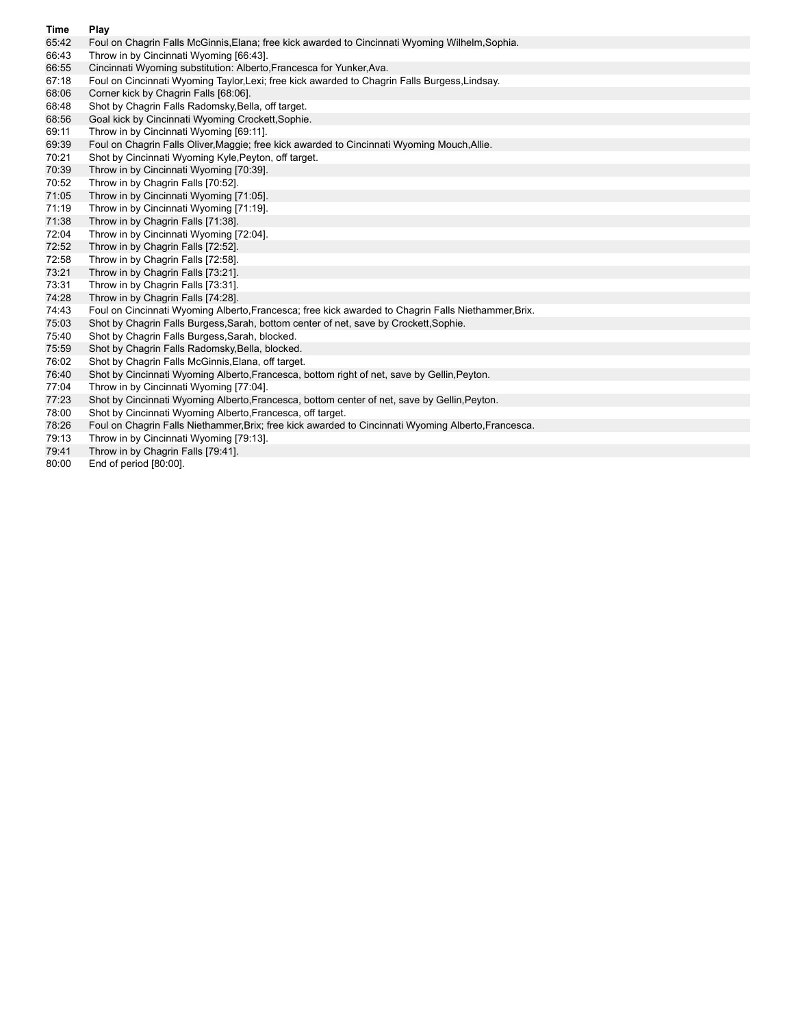- **Time Play** Foul on Chagrin Falls McGinnis, Elana; free kick awarded to Cincinnati Wyoming Wilhelm, Sophia.
- 66:43 Throw in by Cincinnati Wyoming [66:43].
- 66:55 Cincinnati Wyoming substitution: Alberto,Francesca for Yunker,Ava.
- 67:18 Foul on Cincinnati Wyoming Taylor,Lexi; free kick awarded to Chagrin Falls Burgess,Lindsay.
- 68:06 Corner kick by Chagrin Falls [68:06].
- 68:48 Shot by Chagrin Falls Radomsky,Bella, off target.
- 68:56 Goal kick by Cincinnati Wyoming Crockett,Sophie.
- 69:11 Throw in by Cincinnati Wyoming [69:11].
- 69:39 Foul on Chagrin Falls Oliver,Maggie; free kick awarded to Cincinnati Wyoming Mouch,Allie.
- 70:21 Shot by Cincinnati Wyoming Kyle,Peyton, off target.
- 70:39 Throw in by Cincinnati Wyoming [70:39].
- 70:52 Throw in by Chagrin Falls [70:52].
- 71:05 Throw in by Cincinnati Wyoming [71:05].
- 71:19 Throw in by Cincinnati Wyoming [71:19].
- 71:38 Throw in by Chagrin Falls [71:38].<br>72:04 Throw in by Cincinnati Wyoming [1]
- Throw in by Cincinnati Wyoming [72:04].
- 72:52 Throw in by Chagrin Falls [72:52].
- 72:58 Throw in by Chagrin Falls [72:58].
- 73:21 Throw in by Chagrin Falls [73:21].
- 73:31 Throw in by Chagrin Falls [73:31].
- 74:28 Throw in by Chagrin Falls [74:28].
- 74:43 Foul on Cincinnati Wyoming Alberto,Francesca; free kick awarded to Chagrin Falls Niethammer,Brix.
- 75:03 Shot by Chagrin Falls Burgess,Sarah, bottom center of net, save by Crockett,Sophie.
- 75:40 Shot by Chagrin Falls Burgess,Sarah, blocked.
- 75:59 Shot by Chagrin Falls Radomsky,Bella, blocked.
- 76:02 Shot by Chagrin Falls McGinnis,Elana, off target.
- 76:40 Shot by Cincinnati Wyoming Alberto,Francesca, bottom right of net, save by Gellin,Peyton.
- 77:04 Throw in by Cincinnati Wyoming [77:04].
- 77:23 Shot by Cincinnati Wyoming Alberto,Francesca, bottom center of net, save by Gellin,Peyton.
- 78:00 Shot by Cincinnati Wyoming Alberto,Francesca, off target.
- 78:26 Foul on Chagrin Falls Niethammer,Brix; free kick awarded to Cincinnati Wyoming Alberto,Francesca.
- 79:13 Throw in by Cincinnati Wyoming [79:13].
- 79:41 Throw in by Chagrin Falls [79:41].
- 80:00 End of period [80:00].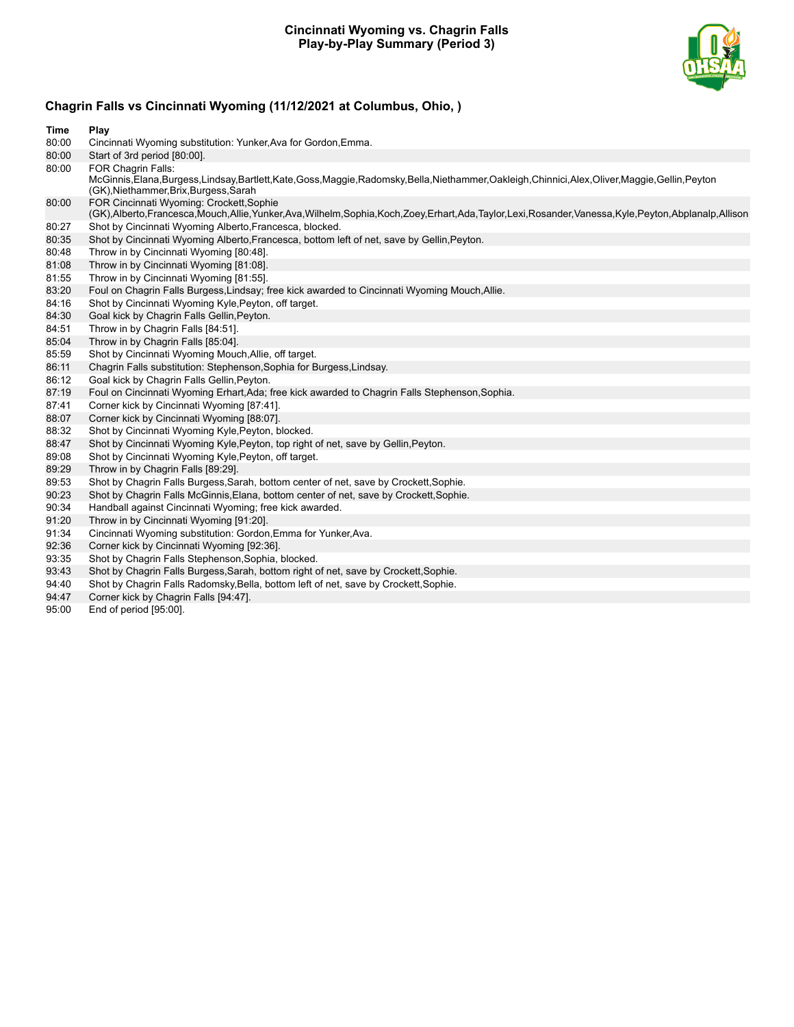### **Cincinnati Wyoming vs. Chagrin Falls Play-by-Play Summary (Period 3)**



## **Chagrin Falls vs Cincinnati Wyoming (11/12/2021 at Columbus, Ohio, )**

| Time  | Play                                                                                                                                                                                                  |
|-------|-------------------------------------------------------------------------------------------------------------------------------------------------------------------------------------------------------|
| 80:00 | Cincinnati Wyoming substitution: Yunker, Ava for Gordon, Emma.                                                                                                                                        |
| 80:00 | Start of 3rd period [80:00].                                                                                                                                                                          |
| 80:00 | FOR Chagrin Falls:<br>McGinnis,Elana,Burgess,Lindsay,Bartlett,Kate,Goss,Maggie,Radomsky,Bella,Niethammer,Oakleigh,Chinnici,Alex,Oliver,Maggie,Gellin,Peyton<br>(GK), Niethammer, Brix, Burgess, Sarah |
| 80:00 | FOR Cincinnati Wyoming: Crockett, Sophie<br>(GK),Alberto,Francesca,Mouch,Allie,Yunker,Ava,Wilhelm,Sophia,Koch,Zoey,Erhart,Ada,Taylor,Lexi,Rosander,Vanessa,Kyle,Peyton,Abplanalp,Allison              |
| 80:27 | Shot by Cincinnati Wyoming Alberto, Francesca, blocked.                                                                                                                                               |
| 80:35 | Shot by Cincinnati Wyoming Alberto, Francesca, bottom left of net, save by Gellin, Peyton.                                                                                                            |
| 80:48 | Throw in by Cincinnati Wyoming [80:48].                                                                                                                                                               |
| 81:08 | Throw in by Cincinnati Wyoming [81:08].                                                                                                                                                               |
| 81:55 | Throw in by Cincinnati Wyoming [81:55].                                                                                                                                                               |
| 83:20 | Foul on Chagrin Falls Burgess, Lindsay; free kick awarded to Cincinnati Wyoming Mouch, Allie.                                                                                                         |
| 84:16 | Shot by Cincinnati Wyoming Kyle, Peyton, off target.                                                                                                                                                  |
| 84:30 | Goal kick by Chagrin Falls Gellin, Peyton.                                                                                                                                                            |
| 84:51 | Throw in by Chagrin Falls [84:51].                                                                                                                                                                    |
| 85:04 | Throw in by Chagrin Falls [85:04].                                                                                                                                                                    |
| 85:59 | Shot by Cincinnati Wyoming Mouch, Allie, off target.                                                                                                                                                  |
| 86:11 | Chagrin Falls substitution: Stephenson, Sophia for Burgess, Lindsay.                                                                                                                                  |
| 86:12 | Goal kick by Chagrin Falls Gellin, Peyton.                                                                                                                                                            |
| 87:19 | Foul on Cincinnati Wyoming Erhart, Ada; free kick awarded to Chagrin Falls Stephenson, Sophia.                                                                                                        |
| 87:41 | Corner kick by Cincinnati Wyoming [87:41].                                                                                                                                                            |
| 88:07 | Corner kick by Cincinnati Wyoming [88:07].                                                                                                                                                            |
| 88:32 | Shot by Cincinnati Wyoming Kyle, Peyton, blocked.                                                                                                                                                     |
| 88:47 | Shot by Cincinnati Wyoming Kyle, Peyton, top right of net, save by Gellin, Peyton.                                                                                                                    |
| 89:08 | Shot by Cincinnati Wyoming Kyle, Peyton, off target.                                                                                                                                                  |
| 89:29 | Throw in by Chagrin Falls [89:29].                                                                                                                                                                    |
| 89:53 | Shot by Chagrin Falls Burgess, Sarah, bottom center of net, save by Crockett, Sophie.                                                                                                                 |
| 90:23 | Shot by Chagrin Falls McGinnis, Elana, bottom center of net, save by Crockett, Sophie.                                                                                                                |
| 90:34 | Handball against Cincinnati Wyoming; free kick awarded.                                                                                                                                               |
| 91:20 | Throw in by Cincinnati Wyoming [91:20].                                                                                                                                                               |
| 91:34 | Cincinnati Wyoming substitution: Gordon, Emma for Yunker, Ava.                                                                                                                                        |
| 92:36 | Corner kick by Cincinnati Wyoming [92:36].                                                                                                                                                            |
| 93:35 | Shot by Chagrin Falls Stephenson, Sophia, blocked.                                                                                                                                                    |
| 93:43 | Shot by Chagrin Falls Burgess, Sarah, bottom right of net, save by Crockett, Sophie.                                                                                                                  |
| 94:40 | Shot by Chagrin Falls Radomsky, Bella, bottom left of net, save by Crockett, Sophie.                                                                                                                  |
| 94:47 | Corner kick by Chagrin Falls [94:47].                                                                                                                                                                 |

95:00 End of period [95:00].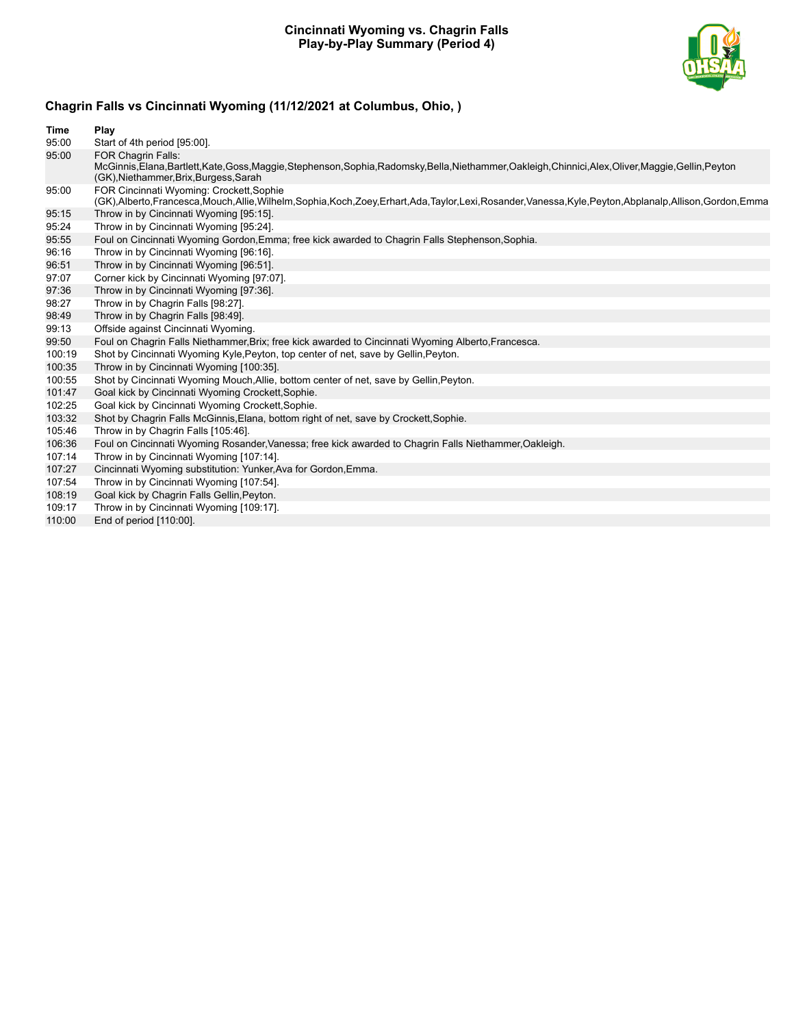#### **Cincinnati Wyoming vs. Chagrin Falls Play-by-Play Summary (Period 4)**



# **Chagrin Falls vs Cincinnati Wyoming (11/12/2021 at Columbus, Ohio, )**

| Time   | Play                                                                                                                                                                                                                            |
|--------|---------------------------------------------------------------------------------------------------------------------------------------------------------------------------------------------------------------------------------|
| 95:00  | Start of 4th period [95:00].                                                                                                                                                                                                    |
| 95:00  | <b>FOR Chagrin Falls:</b><br>McGinnis, Elana, Bartlett, Kate, Goss, Maggie, Stephenson, Sophia, Radomsky, Bella, Niethammer, Oakleigh, Chinnici, Alex, Oliver, Maggie, Gellin, Peyton<br>(GK), Niethammer, Brix, Burgess, Sarah |
| 95:00  | FOR Cincinnati Wyoming: Crockett, Sophie<br>(GK),Alberto,Francesca,Mouch,Allie,Wilhelm,Sophia,Koch,Zoey,Erhart,Ada,Taylor,Lexi,Rosander,Vanessa,Kyle,Peyton,Abplanalp,Allison,Gordon,Emma                                       |
| 95:15  | Throw in by Cincinnati Wyoming [95:15].                                                                                                                                                                                         |
| 95:24  | Throw in by Cincinnati Wyoming [95:24].                                                                                                                                                                                         |
| 95:55  | Foul on Cincinnati Wyoming Gordon, Emma; free kick awarded to Chagrin Falls Stephenson, Sophia.                                                                                                                                 |
| 96:16  | Throw in by Cincinnati Wyoming [96:16].                                                                                                                                                                                         |
| 96:51  | Throw in by Cincinnati Wyoming [96:51].                                                                                                                                                                                         |
| 97:07  | Corner kick by Cincinnati Wyoming [97:07].                                                                                                                                                                                      |
| 97:36  | Throw in by Cincinnati Wyoming [97:36].                                                                                                                                                                                         |
| 98:27  | Throw in by Chagrin Falls [98:27].                                                                                                                                                                                              |
| 98:49  | Throw in by Chagrin Falls [98:49].                                                                                                                                                                                              |
| 99:13  | Offside against Cincinnati Wyoming.                                                                                                                                                                                             |
| 99:50  | Foul on Chagrin Falls Niethammer, Brix; free kick awarded to Cincinnati Wyoming Alberto, Francesca.                                                                                                                             |
| 100:19 | Shot by Cincinnati Wyoming Kyle, Peyton, top center of net, save by Gellin, Peyton.                                                                                                                                             |
| 100:35 | Throw in by Cincinnati Wyoming [100:35].                                                                                                                                                                                        |
| 100:55 | Shot by Cincinnati Wyoming Mouch, Allie, bottom center of net, save by Gellin, Peyton.                                                                                                                                          |
| 101:47 | Goal kick by Cincinnati Wyoming Crockett, Sophie.                                                                                                                                                                               |
| 102:25 | Goal kick by Cincinnati Wyoming Crockett, Sophie.                                                                                                                                                                               |
| 103:32 | Shot by Chagrin Falls McGinnis, Elana, bottom right of net, save by Crockett, Sophie.                                                                                                                                           |
| 105:46 | Throw in by Chagrin Falls [105:46].                                                                                                                                                                                             |
| 106:36 | Foul on Cincinnati Wyoming Rosander, Vanessa; free kick awarded to Chagrin Falls Niethammer, Oakleigh.                                                                                                                          |
| 107:14 | Throw in by Cincinnati Wyoming [107:14].                                                                                                                                                                                        |
| 107:27 | Cincinnati Wyoming substitution: Yunker, Ava for Gordon, Emma.                                                                                                                                                                  |
| 107:54 | Throw in by Cincinnati Wyoming [107:54].                                                                                                                                                                                        |
| 108:19 | Goal kick by Chagrin Falls Gellin, Peyton.                                                                                                                                                                                      |
| 109:17 | Throw in by Cincinnati Wyoming [109:17].                                                                                                                                                                                        |
| 110:00 | End of period [110:00].                                                                                                                                                                                                         |
|        |                                                                                                                                                                                                                                 |